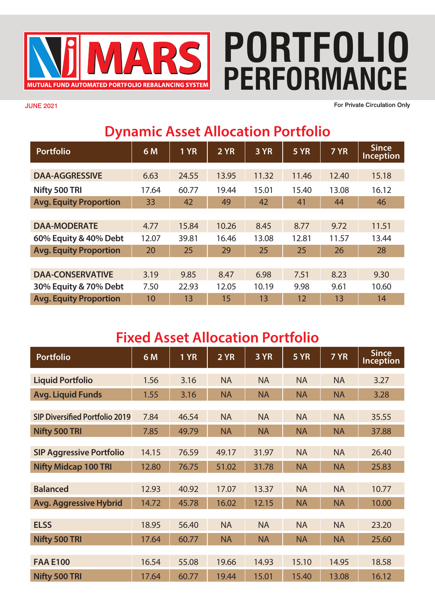

# **PERFORMANCE PORTFOLIO**

JUNE 2021

For Private Circulation Only

| <b>Dynamic Asset Allocation Portfolio</b> |       |        |                 |       |             |       |                                  |  |  |
|-------------------------------------------|-------|--------|-----------------|-------|-------------|-------|----------------------------------|--|--|
| <b>Portfolio</b>                          | 6 M   | $1$ YR | 2 <sub>YR</sub> | 3 YR  | <b>5 YR</b> | 7YR   | <b>Since</b><br><b>Inception</b> |  |  |
| <b>DAA-AGGRESSIVE</b>                     | 6.63  | 24.55  | 13.95           | 11.32 | 11.46       | 12.40 | 15.18                            |  |  |
| Nifty 500 TRI                             | 17.64 | 60.77  | 19.44           | 15.01 | 15.40       | 13.08 | 16.12                            |  |  |
| <b>Avg. Equity Proportion</b>             | 33    | 42     | 49              | 42    | 41          | 44    | 46                               |  |  |
|                                           |       |        |                 |       |             |       |                                  |  |  |
| <b>DAA-MODERATE</b>                       | 4.77  | 15.84  | 10.26           | 8.45  | 8.77        | 9.72  | 11.51                            |  |  |
| 60% Equity & 40% Debt                     | 12.07 | 39.81  | 16.46           | 13.08 | 12.81       | 11.57 | 13.44                            |  |  |
| <b>Avg. Equity Proportion</b>             | 20    | 25     | 29              | 25    | 25          | 26    | 28                               |  |  |
|                                           |       |        |                 |       |             |       |                                  |  |  |
| <b>DAA-CONSERVATIVE</b>                   | 3.19  | 9.85   | 8.47            | 6.98  | 7.51        | 8.23  | 9.30                             |  |  |
| 30% Equity & 70% Debt                     | 7.50  | 22.93  | 12.05           | 10.19 | 9.98        | 9.61  | 10.60                            |  |  |
| <b>Avg. Equity Proportion</b>             | 10    | 13     | 15              | 13    | 12          | 13    | 14                               |  |  |

### **Fixed Asset Allocation Portfolio**

| IACU ASSCEANDUCUUDI FOLUQIIU          |       |             |                 |           |             |           |                                  |  |  |
|---------------------------------------|-------|-------------|-----------------|-----------|-------------|-----------|----------------------------------|--|--|
| <b>Portfolio</b>                      | 6M    | <b>1 YR</b> | 2 <sub>YR</sub> | 3 YR      | <b>5 YR</b> | 7 YR      | <b>Since</b><br><b>Inception</b> |  |  |
| <b>Liquid Portfolio</b>               | 1.56  | 3.16        | <b>NA</b>       | <b>NA</b> | <b>NA</b>   | <b>NA</b> | 3.27                             |  |  |
| <b>Avg. Liquid Funds</b>              | 1.55  | 3.16        | <b>NA</b>       | <b>NA</b> | <b>NA</b>   | <b>NA</b> | 3.28                             |  |  |
| <b>SIP Diversified Portfolio 2019</b> | 7.84  | 46.54       | <b>NA</b>       | <b>NA</b> | <b>NA</b>   | <b>NA</b> | 35.55                            |  |  |
| <b>Nifty 500 TRI</b>                  | 7.85  | 49.79       | <b>NA</b>       | <b>NA</b> | <b>NA</b>   | <b>NA</b> | 37.88                            |  |  |
| <b>SIP Aggressive Portfolio</b>       | 14.15 | 76.59       | 49.17           | 31.97     | <b>NA</b>   | <b>NA</b> | 26.40                            |  |  |
| <b>Nifty Midcap 100 TRI</b>           | 12.80 | 76.75       | 51.02           | 31.78     | <b>NA</b>   | <b>NA</b> | 25.83                            |  |  |
| <b>Balanced</b>                       | 12.93 | 40.92       | 17.07           | 13.37     | <b>NA</b>   | <b>NA</b> | 10.77                            |  |  |
| <b>Avg. Aggressive Hybrid</b>         | 14.72 | 45.78       | 16.02           | 12.15     | <b>NA</b>   | <b>NA</b> | 10.00                            |  |  |
| <b>ELSS</b>                           | 18.95 | 56.40       | <b>NA</b>       | <b>NA</b> | <b>NA</b>   | <b>NA</b> | 23.20                            |  |  |
| <b>Nifty 500 TRI</b>                  | 17.64 | 60.77       | <b>NA</b>       | <b>NA</b> | <b>NA</b>   | <b>NA</b> | 25.60                            |  |  |
|                                       |       |             |                 |           |             |           |                                  |  |  |
| <b>FAA E100</b>                       | 16.54 | 55.08       | 19.66           | 14.93     | 15.10       | 14.95     | 18.58                            |  |  |
| <b>Nifty 500 TRI</b>                  | 17.64 | 60.77       | 19.44           | 15.01     | 15.40       | 13.08     | 16.12                            |  |  |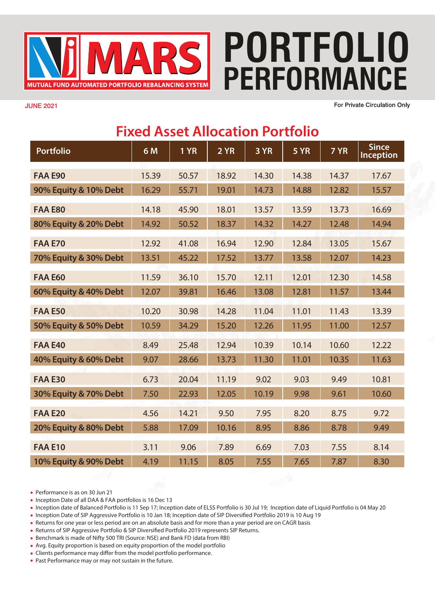

# **PERFORMANCE PORTFOLIO**

JUNE 2021

For Private Circulation Only

| <b>Fixed Asset Allocation Portfolio</b> |       |             |       |       |             |       |                                  |  |  |  |
|-----------------------------------------|-------|-------------|-------|-------|-------------|-------|----------------------------------|--|--|--|
| <b>Portfolio</b>                        | 6 M   | <b>1 YR</b> | 2 YR  | 3 YR  | <b>5 YR</b> | 7 YR  | <b>Since</b><br><b>Inception</b> |  |  |  |
| <b>FAA E90</b>                          | 15.39 | 50.57       | 18.92 | 14.30 | 14.38       | 14.37 | 17.67                            |  |  |  |
| 90% Equity & 10% Debt                   | 16.29 | 55.71       | 19.01 | 14.73 | 14.88       | 12.82 | 15.57                            |  |  |  |
| <b>FAA E80</b>                          | 14.18 | 45.90       | 18.01 | 13.57 | 13.59       | 13.73 | 16.69                            |  |  |  |
| 80% Equity & 20% Debt                   | 14.92 | 50.52       | 18.37 | 14.32 | 14.27       | 12.48 | 14.94                            |  |  |  |
| <b>FAA E70</b>                          | 12.92 | 41.08       | 16.94 | 12.90 | 12.84       | 13.05 | 15.67                            |  |  |  |
| 70% Equity & 30% Debt                   | 13.51 | 45.22       | 17.52 | 13.77 | 13.58       | 12.07 | 14.23                            |  |  |  |
| <b>FAA E60</b>                          | 11.59 | 36.10       | 15.70 | 12.11 | 12.01       | 12.30 | 14.58                            |  |  |  |
| 60% Equity & 40% Debt                   | 12.07 | 39.81       | 16.46 | 13.08 | 12.81       | 11.57 | 13.44                            |  |  |  |
| <b>FAA E50</b>                          | 10.20 | 30.98       | 14.28 | 11.04 | 11.01       | 11.43 | 13.39                            |  |  |  |
| 50% Equity & 50% Debt                   | 10.59 | 34.29       | 15.20 | 12.26 | 11.95       | 11.00 | 12.57                            |  |  |  |
| <b>FAA E40</b>                          | 8.49  | 25.48       | 12.94 | 10.39 | 10.14       | 10.60 | 12.22                            |  |  |  |
| 40% Equity & 60% Debt                   | 9.07  | 28.66       | 13.73 | 11.30 | 11.01       | 10.35 | 11.63                            |  |  |  |
| <b>FAA E30</b>                          | 6.73  | 20.04       | 11.19 | 9.02  | 9.03        | 9.49  | 10.81                            |  |  |  |
| 30% Equity & 70% Debt                   | 7.50  | 22.93       | 12.05 | 10.19 | 9.98        | 9.61  | 10.60                            |  |  |  |
| <b>FAA E20</b>                          | 4.56  | 14.21       | 9.50  | 7.95  | 8.20        | 8.75  | 9.72                             |  |  |  |
| 20% Equity & 80% Debt                   | 5.88  | 17.09       | 10.16 | 8.95  | 8.86        | 8.78  | 9.49                             |  |  |  |
| <b>FAA E10</b>                          | 3.11  | 9.06        | 7.89  | 6.69  | 7.03        | 7.55  | 8.14                             |  |  |  |
| 10% Equity & 90% Debt                   | 4.19  | 11.15       | 8.05  | 7.55  | 7.65        | 7.87  | 8.30                             |  |  |  |

• Performance is as on 30 Jun 21

- Inception Date of all DAA & FAA portfolios is 16 Dec 13
- Inception date of Balanced Portfolio is 11 Sep 17; Inception date of ELSS Portfolio is 30 Jul 19; Inception date of Liquid Portfolio is 04 May 20
- Inception Date of SIP Aggressive Portfolio is 10 Jan 18; Inception date of SIP Diversied Portfolio 2019 is 10 Aug 19
- Returns for one year or less period are on an absolute basis and for more than a year period are on CAGR basis
- Returns of SIP Aggressive Portfolio & SIP Diversified Portfolio 2019 represents SIP Returns.
- Benchmark is made of Nifty 500 TRI (Source: NSE) and Bank FD (data from RBI)
- Avg. Equity proportion is based on equity proportion of the model portfolio • Clients performance may differ from the model portfolio performance.
- 
- Past Performance may or may not sustain in the future.